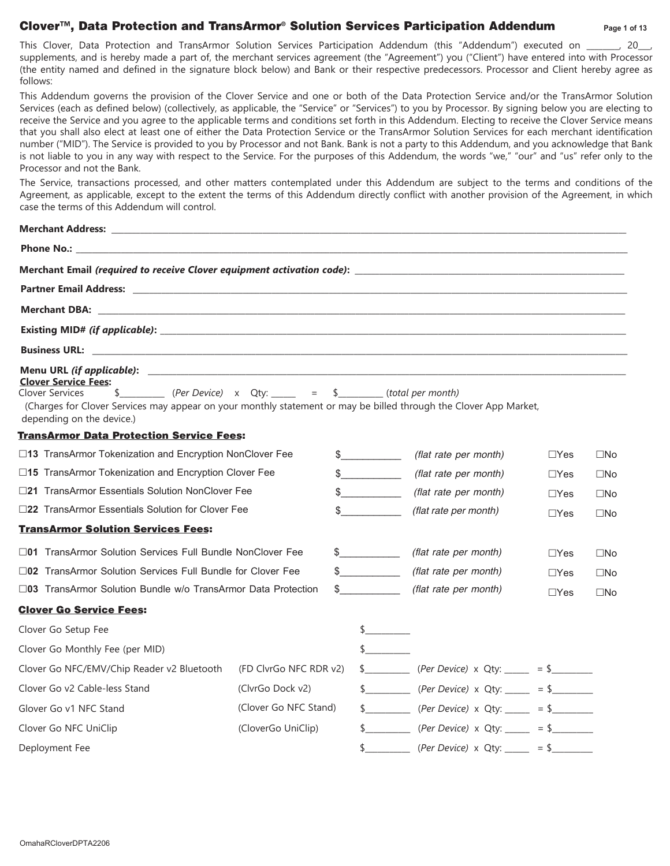# **Clover™, Data Protection and TransArmor® Solution Services Participation Addendum Page 1 of 13**

This Clover, Data Protection and TransArmor Solution Services Participation Addendum (this "Addendum") executed on \_\_\_\_\_, 20\_\_, supplements, and is hereby made a part of, the merchant services agreement (the "Agreement") you ("Client") have entered into with Processor (the entity named and defined in the signature block below) and Bank or their respective predecessors. Processor and Client hereby agree as follows:

This Addendum governs the provision of the Clover Service and one or both of the Data Protection Service and/or the TransArmor Solution Services (each as defined below) (collectively, as applicable, the "Service" or "Services") to you by Processor. By signing below you are electing to receive the Service and you agree to the applicable terms and conditions set forth in this Addendum. Electing to receive the Clover Service means that you shall also elect at least one of either the Data Protection Service or the TransArmor Solution Services for each merchant identification number ("MID"). The Service is provided to you by Processor and not Bank. Bank is not a party to this Addendum, and you acknowledge that Bank is not liable to you in any way with respect to the Service. For the purposes of this Addendum, the words "we," "our" and "us" refer only to the Processor and not the Bank.

The Service, transactions processed, and other matters contemplated under this Addendum are subject to the terms and conditions of the Agreement, as applicable, except to the extent the terms of this Addendum directly conflict with another provision of the Agreement, in which case the terms of this Addendum will control.

| <b>Clover Service Fees:</b><br>$\rule{1em}{0.15mm}$ (Per Device) x Qty: _____ = \$________ (total per month)<br><b>Clover Services</b><br>$\frac{1}{2}$<br>(Charges for Clover Services may appear on your monthly statement or may be billed through the Clover App Market,<br>depending on the device.) |                        |  |               |                                                     |             |              |
|-----------------------------------------------------------------------------------------------------------------------------------------------------------------------------------------------------------------------------------------------------------------------------------------------------------|------------------------|--|---------------|-----------------------------------------------------|-------------|--------------|
| <b>TransArmor Data Protection Service Fees:</b>                                                                                                                                                                                                                                                           |                        |  |               |                                                     |             |              |
| □13 TransArmor Tokenization and Encryption NonClover Fee                                                                                                                                                                                                                                                  |                        |  | $\sim$        | (flat rate per month)                               | $\Box$ Yes  | $\square$ No |
| $\square$ 15 TransArmor Tokenization and Encryption Clover Fee                                                                                                                                                                                                                                            |                        |  | $\frac{1}{2}$ | (flat rate per month)                               | $\Box Y$ es | $\square$ No |
| □21 TransArmor Essentials Solution NonClover Fee                                                                                                                                                                                                                                                          |                        |  | $\frac{1}{2}$ | (flat rate per month)                               | $\Box$ Yes  | $\square$ No |
| □22 TransArmor Essentials Solution for Clover Fee                                                                                                                                                                                                                                                         |                        |  | $\sim$        | (flat rate per month)                               | $\Box Y$ es | $\square$ No |
| <b>TransArmor Solution Services Fees:</b>                                                                                                                                                                                                                                                                 |                        |  |               |                                                     |             |              |
| $\square$ 01 TransArmor Solution Services Full Bundle NonClover Fee                                                                                                                                                                                                                                       |                        |  | $\frac{1}{2}$ | (flat rate per month)                               | $\Box$ Yes  | $\square$ No |
| $\square$ 02 TransArmor Solution Services Full Bundle for Clover Fee                                                                                                                                                                                                                                      |                        |  | $\frac{1}{2}$ | (flat rate per month)                               | $\Box$ Yes  | $\square$ No |
| $\square$ 03 TransArmor Solution Bundle w/o TransArmor Data Protection                                                                                                                                                                                                                                    |                        |  | $\sim$        | (flat rate per month)                               | $\Box$ Yes  | $\square$ No |
| <b>Clover Go Service Fees:</b>                                                                                                                                                                                                                                                                            |                        |  |               |                                                     |             |              |
| Clover Go Setup Fee                                                                                                                                                                                                                                                                                       |                        |  | $\frac{1}{2}$ |                                                     |             |              |
| Clover Go Monthly Fee (per MID)                                                                                                                                                                                                                                                                           |                        |  | $\sim$        |                                                     |             |              |
| Clover Go NFC/EMV/Chip Reader v2 Bluetooth                                                                                                                                                                                                                                                                | (FD ClvrGo NFC RDR v2) |  |               |                                                     |             |              |
| Clover Go v2 Cable-less Stand                                                                                                                                                                                                                                                                             | (ClvrGo Dock v2)       |  |               | $\frac{1}{2}$ (Per Device) x Qty: _____ = \$        |             |              |
| (Clover Go NFC Stand)<br>Glover Go v1 NFC Stand                                                                                                                                                                                                                                                           |                        |  |               | $\frac{1}{2}$ (Per Device) x Qty: $=$ $\frac{1}{2}$ |             |              |
| Clover Go NFC UniClip<br>(CloverGo UniClip)                                                                                                                                                                                                                                                               |                        |  |               | $\frac{1}{2}$ (Per Device) x Qty: $=$ $\frac{1}{2}$ |             |              |
| Deployment Fee                                                                                                                                                                                                                                                                                            |                        |  | $\frac{1}{2}$ | (Per Device) x Qty: _____ = \$________              |             |              |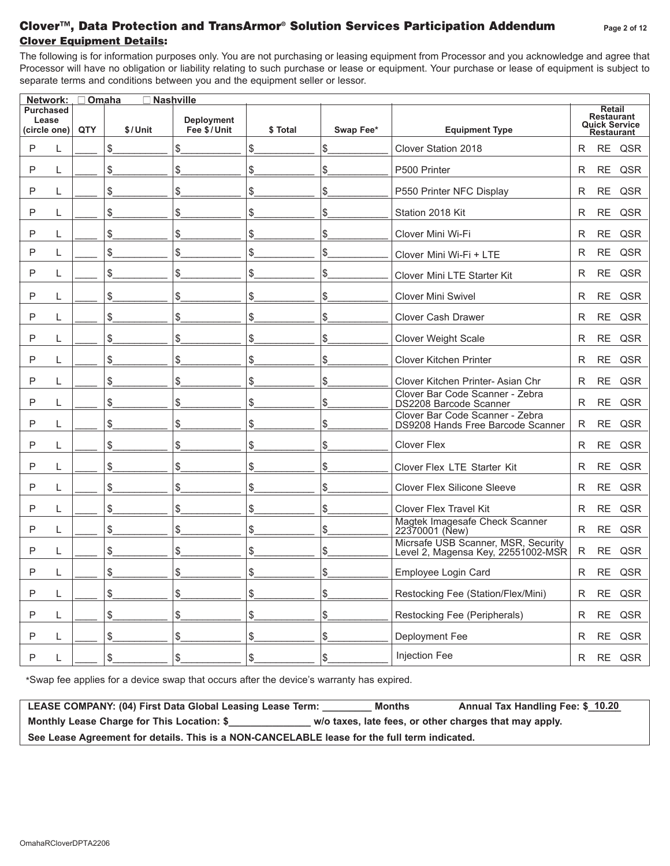# **Clover Equipment Details: Clover™, Data Protection and TransArmor® Solution Services Participation Addendum Page <sup>2</sup> of 1<sup>2</sup>**

The following is for information purposes only. You are not purchasing or leasing equipment from Processor and you acknowledge and agree that Processor will have no obligation or liability relating to such purchase or lease or equipment. Your purchase or lease of equipment is subject to separate terms and conditions between you and the equipment seller or lessor.

|         | Network: , □ Omaha<br><b>Nashville</b> |     |         |                                  |         |           |                                                                           |   |                                                  |               |
|---------|----------------------------------------|-----|---------|----------------------------------|---------|-----------|---------------------------------------------------------------------------|---|--------------------------------------------------|---------------|
| Lease   | <b>Purchased</b><br>(circle one)       | QTY | \$/Unit | <b>Deployment</b><br>Fee \$/Unit | \$Total | Swap Fee* | <b>Equipment Type</b>                                                     |   | <b>Retail</b><br><b>Restaurant</b><br>Restaurant | Quick Service |
| P       | L                                      |     | \$      | \$                               | \$      | \$        | Clover Station 2018                                                       | R | RE                                               | QSR           |
| P       | L                                      |     | \$      | \$                               | \$      | \$        | P500 Printer                                                              | R | <b>RE</b>                                        | QSR           |
| P       | L                                      |     | \$      | \$                               | \$      | \$        | P550 Printer NFC Display                                                  | R | $\sf RE$                                         | QSR           |
| P       | L                                      |     | \$      | \$                               | \$      | \$        | Station 2018 Kit                                                          | R | <b>RE</b>                                        | QSR           |
| P       | L                                      |     | \$      | \$                               | \$      | \$        | Clover Mini Wi-Fi                                                         | R | <b>RE</b>                                        | QSR           |
| P       | L                                      |     | \$      | \$                               | \$      | \$        | Clover Mini Wi-Fi + LTE                                                   | R | <b>RE</b>                                        | QSR           |
| P       | L                                      |     | \$      | \$                               | \$      | \$        | Clover Mini LTE Starter Kit                                               | R | <b>RE</b>                                        | QSR           |
| P       | L                                      |     | \$      | \$                               | \$      | \$        | <b>Clover Mini Swivel</b>                                                 | R | <b>RE</b>                                        | QSR           |
| P       | L                                      |     | \$      | \$                               | \$      | \$        | <b>Clover Cash Drawer</b>                                                 | R | <b>RE</b>                                        | QSR           |
| P       | L                                      |     | \$      | \$                               | \$      | \$        | <b>Clover Weight Scale</b>                                                | R | <b>RE</b>                                        | QSR           |
| P       | L                                      |     | \$      | \$                               | \$      | \$        | <b>Clover Kitchen Printer</b>                                             | R | <b>RE</b>                                        | QSR           |
| P       | L                                      |     | \$      | \$                               | \$      | \$        | Clover Kitchen Printer- Asian Chr                                         | R | <b>RE</b>                                        | QSR           |
| P       | L                                      |     | \$      | \$                               | \$      | \$        | Clover Bar Code Scanner - Zebra<br>DS2208 Barcode Scanner                 | R | <b>RE</b>                                        | QSR           |
| $\sf P$ | L                                      |     | \$      | \$                               | \$      | \$        | Clover Bar Code Scanner - Zebra<br>DS9208 Hands Free Barcode Scanner      | R | <b>RE</b>                                        | QSR           |
| P       | L                                      |     | \$      | \$                               | \$      | \$        | <b>Clover Flex</b>                                                        | R | <b>RE</b>                                        | QSR           |
| P       | L                                      |     | \$      | \$                               | \$      | \$        | Clover Flex LTE Starter Kit                                               | R | <b>RE</b>                                        | QSR           |
| P       | L                                      |     | \$      | \$                               | \$      | \$        | <b>Clover Flex Silicone Sleeve</b>                                        | R | <b>RE</b>                                        | QSR           |
| P       | L                                      |     | \$      | \$                               | \$      | \$        | <b>Clover Flex Travel Kit</b>                                             | R | <b>RE</b>                                        | QSR           |
| P       | L                                      |     | \$      | \$                               | \$      | \$        | Magtek Imagesafe Check Scanner<br>22370001 (New)                          | R | <b>RE</b>                                        | QSR           |
| P       | L                                      |     | \$      | \$                               | \$      | \$        | Micrsafe USB Scanner, MSR, Security<br>Level 2, Magensa Key, 22551002-MSR | R | <b>RE</b>                                        | QSR           |
| P       | L                                      |     | \$      | \$                               | \$      | \$        | Employee Login Card                                                       | R | <b>RE</b>                                        | QSR           |
| P       | L                                      |     | \$      | \$                               | \$      | \$        | Restocking Fee (Station/Flex/Mini)                                        | R | RE                                               | QSR           |
| P       | L                                      |     | \$      | \$                               | \$      | \$        | Restocking Fee (Peripherals)                                              | R | <b>RE</b>                                        | QSR           |
| P       | L                                      |     | \$      | \$                               | \$      | \$        | Deployment Fee                                                            | R | <b>RE</b>                                        | QSR           |
| P       |                                        |     | \$      | \$                               | \$      | \$        | Injection Fee                                                             | R | RE                                               | QSR           |

\*Swap fee applies for a device swap that occurs after the device's warranty has expired.

| LEASE COMPANY: (04) First Data Global Leasing Lease Term:                                    | <b>Months</b>                                          | Annual Tax Handling Fee: \$ 10.20 |  |  |
|----------------------------------------------------------------------------------------------|--------------------------------------------------------|-----------------------------------|--|--|
| Monthly Lease Charge for This Location: \$                                                   | w/o taxes, late fees, or other charges that may apply. |                                   |  |  |
| See Lease Agreement for details. This is a NON-CANCELABLE lease for the full term indicated. |                                                        |                                   |  |  |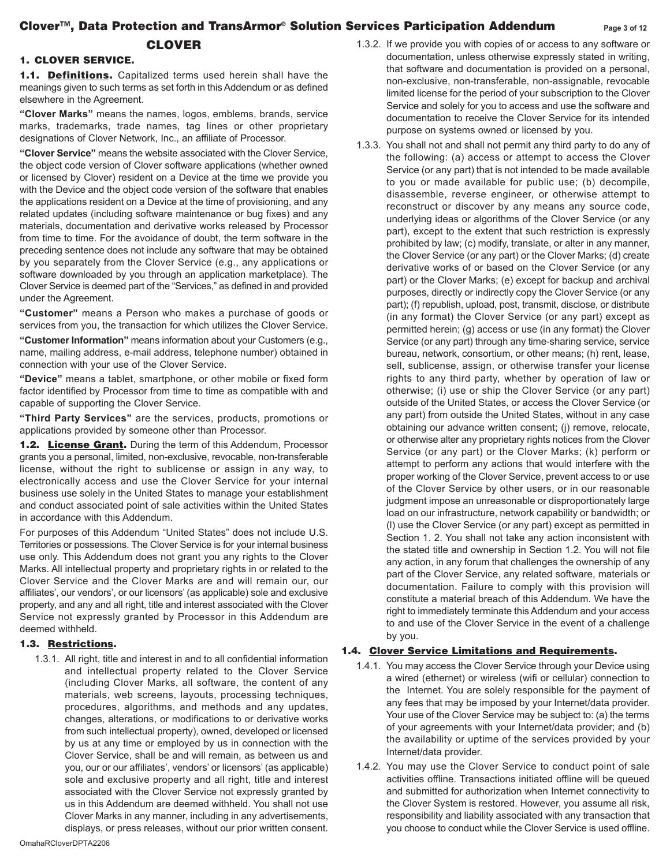# **Clover™, Data Protection and TransArmor® Solution Services Participation Addendum Page <sup>3</sup> of 1<sup>2</sup>**

# **CLOVER**

## **1. CLOVER SERVICE.**

**1.1. Definitions.** Capitalized terms used herein shall have the meanings given to such terms as set forth in this Addendum or as defined elsewhere in the Agreement.

**"Clover Marks"** means the names, logos, emblems, brands, service marks, trademarks, trade names, tag lines or other proprietary designations of Clover Network, Inc., an affiliate of Processor.

**"Clover Service"** means the website associated with the Clover Service, the object code version of Clover software applications (whether owned or licensed by Clover) resident on a Device at the time we provide you with the Device and the object code version of the software that enables the applications resident on a Device at the time of provisioning, and any related updates (including software maintenance or bug fixes) and any materials, documentation and derivative works released by Processor from time to time. For the avoidance of doubt, the term software in the preceding sentence does not include any software that may be obtained by you separately from the Clover Service (e.g., any applications or software downloaded by you through an application marketplace). The Clover Service is deemed part of the "Services," as defined in and provided under the Agreement.

**"Customer"** means a Person who makes a purchase of goods or services from you, the transaction for which utilizes the Clover Service.

**"Customer Information"** means information about your Customers (e.g., name, mailing address, e-mail address, telephone number) obtained in connection with your use of the Clover Service.

**"Device"** means a tablet, smartphone, or other mobile or fixed form factor identified by Processor from time to time as compatible with and capable of supporting the Clover Service.

**"Third Party Services"** are the services, products, promotions or applications provided by someone other than Processor.

**1.2. License Grant.** During the term of this Addendum, Processor grants you a personal, limited, non-exclusive, revocable, non-transferable license, without the right to sublicense or assign in any way, to electronically access and use the Clover Service for your internal business use solely in the United States to manage your establishment and conduct associated point of sale activities within the United States in accordance with this Addendum.

For purposes of this Addendum "United States" does not include U.S. Territories or possessions. The Clover Service is for your internal business use only. This Addendum does not grant you any rights to the Clover Marks. All intellectual property and proprietary rights in or related to the Clover Service and the Clover Marks are and will remain our, our affiliates', our vendors', or our licensors' (as applicable) sole and exclusive property, and any and all right, title and interest associated with the Clover Service not expressly granted by Processor in this Addendum are deemed withheld.

## **1.3. Restrictions.**

1.3.1. All right, title and interest in and to all confidential information and intellectual property related to the Clover Service (including Clover Marks, all software, the content of any materials, web screens, layouts, processing techniques, procedures, algorithms, and methods and any updates, changes, alterations, or modifications to or derivative works from such intellectual property), owned, developed or licensed by us at any time or employed by us in connection with the Clover Service, shall be and will remain, as between us and you, our or our affiliates', vendors' or licensors' (as applicable) sole and exclusive property and all right, title and interest associated with the Clover Service not expressly granted by us in this Addendum are deemed withheld. You shall not use Clover Marks in any manner, including in any advertisements, displays, or press releases, without our prior written consent.

- 1.3.2. If we provide you with copies of or access to any software or documentation, unless otherwise expressly stated in writing, that software and documentation is provided on a personal, non-exclusive, non-transferable, non-assignable, revocable limited license for the period of your subscription to the Clover Service and solely for you to access and use the software and documentation to receive the Clover Service for its intended purpose on systems owned or licensed by you.
- 1.3.3. You shall not and shall not permit any third party to do any of the following: (a) access or attempt to access the Clover Service (or any part) that is not intended to be made available to you or made available for public use; (b) decompile, disassemble, reverse engineer, or otherwise attempt to reconstruct or discover by any means any source code, underlying ideas or algorithms of the Clover Service (or any part), except to the extent that such restriction is expressly prohibited by law; (c) modify, translate, or alter in any manner, the Clover Service (or any part) or the Clover Marks; (d) create derivative works of or based on the Clover Service (or any part) or the Clover Marks; (e) except for backup and archival purposes, directly or indirectly copy the Clover Service (or any part); (f) republish, upload, post, transmit, disclose, or distribute (in any format) the Clover Service (or any part) except as permitted herein; (g) access or use (in any format) the Clover Service (or any part) through any time-sharing service, service bureau, network, consortium, or other means; (h) rent, lease, sell, sublicense, assign, or otherwise transfer your license rights to any third party, whether by operation of law or otherwise; (i) use or ship the Clover Service (or any part) outside of the United States, or access the Clover Service (or any part) from outside the United States, without in any case obtaining our advance written consent; (j) remove, relocate, or otherwise alter any proprietary rights notices from the Clover Service (or any part) or the Clover Marks; (k) perform or attempt to perform any actions that would interfere with the proper working of the Clover Service, prevent access to or use of the Clover Service by other users, or in our reasonable judgment impose an unreasonable or disproportionately large load on our infrastructure, network capability or bandwidth; or (l) use the Clover Service (or any part) except as permitted in Section 1. 2. You shall not take any action inconsistent with the stated title and ownership in Section 1.2. You will not file any action, in any forum that challenges the ownership of any part of the Clover Service, any related software, materials or documentation. Failure to comply with this provision will constitute a material breach of this Addendum. We have the right to immediately terminate this Addendum and your access to and use of the Clover Service in the event of a challenge by you.

#### **1.4. Clover Service Limitations and Requirements.**

- 1.4.1. You may access the Clover Service through your Device using a wired (ethernet) or wireless (wifi or cellular) connection to the Internet. You are solely responsible for the payment of any fees that may be imposed by your Internet/data provider. Your use of the Clover Service may be subject to: (a) the terms of your agreements with your Internet/data provider; and (b) the availability or uptime of the services provided by your Internet/data provider.
- 1.4.2. You may use the Clover Service to conduct point of sale activities offline. Transactions initiated offline will be queued and submitted for authorization when Internet connectivity to the Clover System is restored. However, you assume all risk, responsibility and liability associated with any transaction that you choose to conduct while the Clover Service is used offline.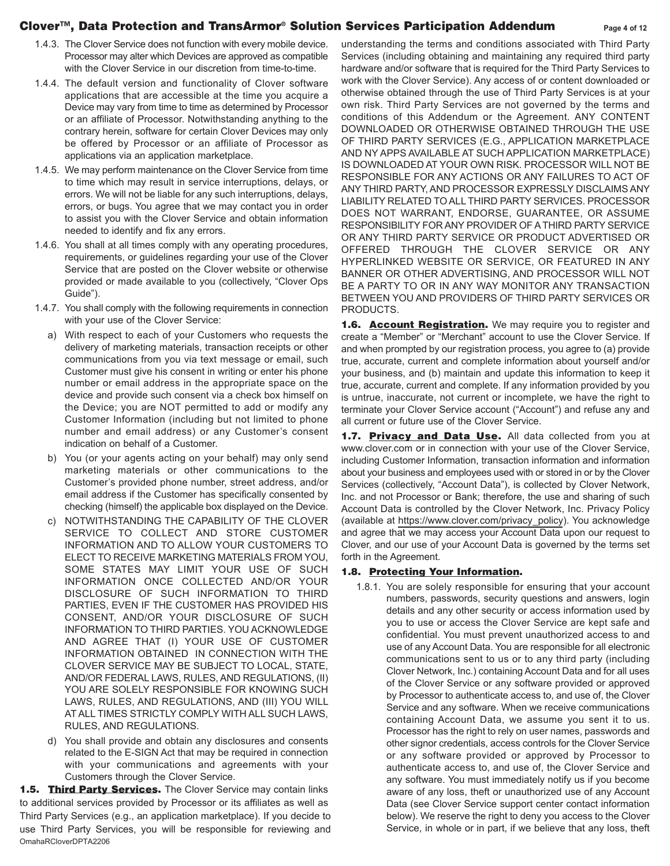## **Clover™, Data Protection and TransArmor® Solution Services Participation Addendum Page <sup>4</sup> of 1<sup>2</sup>**

- 1.4.3. The Clover Service does not function with every mobile device. Processor may alter which Devices are approved as compatible with the Clover Service in our discretion from time-to-time.
- 1.4.4. The default version and functionality of Clover software applications that are accessible at the time you acquire a Device may vary from time to time as determined by Processor or an affiliate of Processor. Notwithstanding anything to the contrary herein, software for certain Clover Devices may only be offered by Processor or an affiliate of Processor as applications via an application marketplace.
- 1.4.5. We may perform maintenance on the Clover Service from time to time which may result in service interruptions, delays, or errors. We will not be liable for any such interruptions, delays, errors, or bugs. You agree that we may contact you in order to assist you with the Clover Service and obtain information needed to identify and fix any errors.
- 1.4.6. You shall at all times comply with any operating procedures, requirements, or guidelines regarding your use of the Clover Service that are posted on the Clover website or otherwise provided or made available to you (collectively, "Clover Ops Guide").
- 1.4.7. You shall comply with the following requirements in connection with your use of the Clover Service:
	- a) With respect to each of your Customers who requests the delivery of marketing materials, transaction receipts or other communications from you via text message or email, such Customer must give his consent in writing or enter his phone number or email address in the appropriate space on the device and provide such consent via a check box himself on the Device; you are NOT permitted to add or modify any Customer Information (including but not limited to phone number and email address) or any Customer's consent indication on behalf of a Customer.
	- b) You (or your agents acting on your behalf) may only send marketing materials or other communications to the Customer's provided phone number, street address, and/or email address if the Customer has specifically consented by checking (himself) the applicable box displayed on the Device.
	- c) NOTWITHSTANDING THE CAPABILITY OF THE CLOVER SERVICE TO COLLECT AND STORE CUSTOMER INFORMATION AND TO ALLOW YOUR CUSTOMERS TO ELECT TO RECEIVE MARKETING MATERIALS FROM YOU, SOME STATES MAY LIMIT YOUR USE OF SUCH INFORMATION ONCE COLLECTED AND/OR YOUR DISCLOSURE OF SUCH INFORMATION TO THIRD PARTIES, EVEN IF THE CUSTOMER HAS PROVIDED HIS CONSENT, AND/OR YOUR DISCLOSURE OF SUCH INFORMATION TO THIRD PARTIES. YOU ACKNOWLEDGE AND AGREE THAT (I) YOUR USE OF CUSTOMER INFORMATION OBTAINED IN CONNECTION WITH THE CLOVER SERVICE MAY BE SUBJECT TO LOCAL, STATE, AND/OR FEDERAL LAWS, RULES, AND REGULATIONS, (II) YOU ARE SOLELY RESPONSIBLE FOR KNOWING SUCH LAWS, RULES, AND REGULATIONS, AND (III) YOU WILL AT ALL TIMES STRICTLY COMPLY WITH ALL SUCH LAWS, RULES, AND REGULATIONS.
	- d) You shall provide and obtain any disclosures and consents related to the E-SIGN Act that may be required in connection with your communications and agreements with your Customers through the Clover Service.

**1.5. Third Party Services.** The Clover Service may contain links to additional services provided by Processor or its affiliates as well as Third Party Services (e.g., an application marketplace). If you decide to use Third Party Services, you will be responsible for reviewing and OmahaRCloverDPTA2206

understanding the terms and conditions associated with Third Party Services (including obtaining and maintaining any required third party hardware and/or software that is required for the Third Party Services to work with the Clover Service). Any access of or content downloaded or otherwise obtained through the use of Third Party Services is at your own risk. Third Party Services are not governed by the terms and conditions of this Addendum or the Agreement. ANY CONTENT DOWNLOADED OR OTHERWISE OBTAINED THROUGH THE USE OF THIRD PARTY SERVICES (E.G., APPLICATION MARKETPLACE AND NY APPS AVAILABLE AT SUCH APPLICATION MARKETPLACE) IS DOWNLOADED AT YOUR OWN RISK. PROCESSOR WILL NOT BE RESPONSIBLE FOR ANY ACTIONS OR ANY FAILURES TO ACT OF ANY THIRD PARTY, AND PROCESSOR EXPRESSLY DISCLAIMS ANY LIABILITY RELATED TO ALL THIRD PARTY SERVICES. PROCESSOR DOES NOT WARRANT, ENDORSE, GUARANTEE, OR ASSUME RESPONSIBILITY FOR ANY PROVIDER OF A THIRD PARTY SERVICE OR ANY THIRD PARTY SERVICE OR PRODUCT ADVERTISED OR OFFERED THROUGH THE CLOVER SERVICE OR ANY HYPERLINKED WEBSITE OR SERVICE, OR FEATURED IN ANY BANNER OR OTHER ADVERTISING, AND PROCESSOR WILL NOT BE A PARTY TO OR IN ANY WAY MONITOR ANY TRANSACTION BETWEEN YOU AND PROVIDERS OF THIRD PARTY SERVICES OR PRODUCTS.

**1.6. Account Registration.** We may require you to register and create a "Member" or "Merchant" account to use the Clover Service. If and when prompted by our registration process, you agree to (a) provide true, accurate, current and complete information about yourself and/or your business, and (b) maintain and update this information to keep it true, accurate, current and complete. If any information provided by you is untrue, inaccurate, not current or incomplete, we have the right to terminate your Clover Service account ("Account") and refuse any and all current or future use of the Clover Service.

**1.7. Privacy and Data Use.** All data collected from you at www.clover.com or in connection with your use of the Clover Service, including Customer Information, transaction information and information about your business and employees used with or stored in or by the Clover Services (collectively, "Account Data"), is collected by Clover Network, Inc. and not Processor or Bank; therefore, the use and sharing of such Account Data is controlled by the Clover Network, Inc. Privacy Policy (available at https://www.clover.com/privacy\_policy). You acknowledge and agree that we may access your Account Data upon our request to Clover, and our use of your Account Data is governed by the terms set forth in the Agreement.

# **1.8. Protecting Your Information.**

1.8.1. You are solely responsible for ensuring that your account numbers, passwords, security questions and answers, login details and any other security or access information used by you to use or access the Clover Service are kept safe and confidential. You must prevent unauthorized access to and use of any Account Data. You are responsible for all electronic communications sent to us or to any third party (including Clover Network, Inc.) containing Account Data and for all uses of the Clover Service or any software provided or approved by Processor to authenticate access to, and use of, the Clover Service and any software. When we receive communications containing Account Data, we assume you sent it to us. Processor has the right to rely on user names, passwords and other signor credentials, access controls for the Clover Service or any software provided or approved by Processor to authenticate access to, and use of, the Clover Service and any software. You must immediately notify us if you become aware of any loss, theft or unauthorized use of any Account Data (see Clover Service support center contact information below). We reserve the right to deny you access to the Clover Service, in whole or in part, if we believe that any loss, theft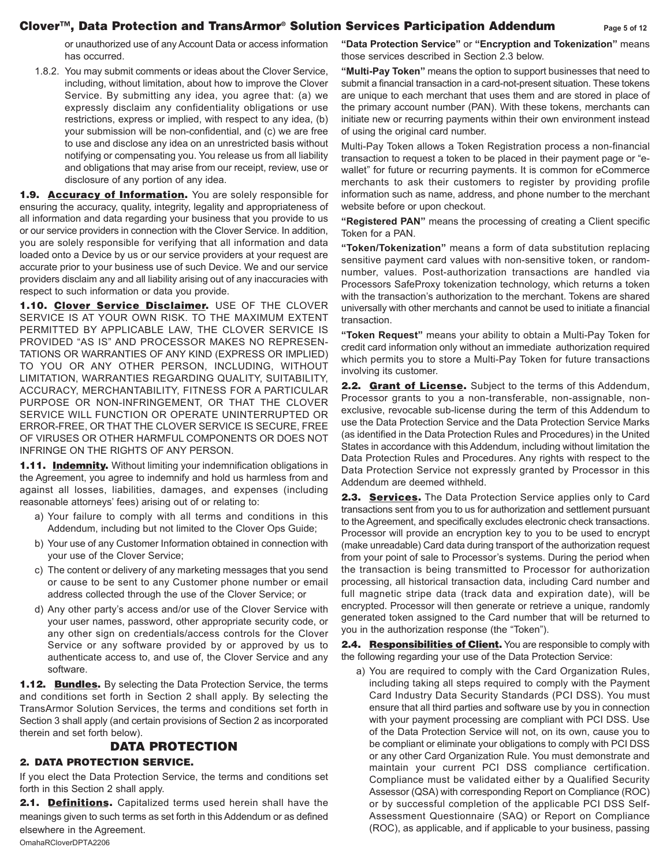## **Clover™, Data Protection and TransArmor® Solution Services Participation Addendum Page <sup>5</sup> of 1<sup>2</sup>**

or unauthorized use of any Account Data or access information has occurred.

1.8.2. You may submit comments or ideas about the Clover Service, including, without limitation, about how to improve the Clover Service. By submitting any idea, you agree that: (a) we expressly disclaim any confidentiality obligations or use restrictions, express or implied, with respect to any idea, (b) your submission will be non-confidential, and (c) we are free to use and disclose any idea on an unrestricted basis without notifying or compensating you. You release us from all liability and obligations that may arise from our receipt, review, use or disclosure of any portion of any idea.

**1.9. Accuracy of Information.** You are solely responsible for ensuring the accuracy, quality, integrity, legality and appropriateness of all information and data regarding your business that you provide to us or our service providers in connection with the Clover Service. In addition, you are solely responsible for verifying that all information and data loaded onto a Device by us or our service providers at your request are accurate prior to your business use of such Device. We and our service providers disclaim any and all liability arising out of any inaccuracies with respect to such information or data you provide.

**1.10. Clover Service Disclaimer.** USE OF THE CLOVER SERVICE IS AT YOUR OWN RISK. TO THE MAXIMUM EXTENT PERMITTED BY APPLICABLE LAW, THE CLOVER SERVICE IS PROVIDED "AS IS" AND PROCESSOR MAKES NO REPRESEN-TATIONS OR WARRANTIES OF ANY KIND (EXPRESS OR IMPLIED) TO YOU OR ANY OTHER PERSON, INCLUDING, WITHOUT LIMITATION, WARRANTIES REGARDING QUALITY, SUITABILITY, ACCURACY, MERCHANTABILITY, FITNESS FOR A PARTICULAR PURPOSE OR NON-INFRINGEMENT, OR THAT THE CLOVER SERVICE WILL FUNCTION OR OPERATE UNINTERRUPTED OR ERROR-FREE, OR THAT THE CLOVER SERVICE IS SECURE, FREE OF VIRUSES OR OTHER HARMFUL COMPONENTS OR DOES NOT INFRINGE ON THE RIGHTS OF ANY PERSON.

**1.11. Indemnity.** Without limiting your indemnification obligations in the Agreement, you agree to indemnify and hold us harmless from and against all losses, liabilities, damages, and expenses (including reasonable attorneys' fees) arising out of or relating to:

- a) Your failure to comply with all terms and conditions in this Addendum, including but not limited to the Clover Ops Guide;
- b) Your use of any Customer Information obtained in connection with your use of the Clover Service;
- c) The content or delivery of any marketing messages that you send or cause to be sent to any Customer phone number or email address collected through the use of the Clover Service; or
- d) Any other party's access and/or use of the Clover Service with your user names, password, other appropriate security code, or any other sign on credentials/access controls for the Clover Service or any software provided by or approved by us to authenticate access to, and use of, the Clover Service and any software.

**1.12. Bundles.** By selecting the Data Protection Service, the terms and conditions set forth in Section 2 shall apply. By selecting the TransArmor Solution Services, the terms and conditions set forth in Section 3 shall apply (and certain provisions of Section 2 as incorporated therein and set forth below).

## **DATA PROTECTION**

#### **2. DATA PROTECTION SERVICE.**

If you elect the Data Protection Service, the terms and conditions set forth in this Section 2 shall apply.

**2.1. Definitions.** Capitalized terms used herein shall have the meanings given to such terms as set forth in this Addendum or as defined elsewhere in the Agreement. OmahaRCloverDPTA2206

**"Data Protection Service"** or **"Encryption and Tokenization"** means those services described in Section 2.3 below.

**"Multi-Pay Token"** means the option to support businesses that need to submit a financial transaction in a card-not-present situation. These tokens are unique to each merchant that uses them and are stored in place of the primary account number (PAN). With these tokens, merchants can initiate new or recurring payments within their own environment instead of using the original card number.

Multi-Pay Token allows a Token Registration process a non-financial transaction to request a token to be placed in their payment page or "ewallet" for future or recurring payments. It is common for eCommerce merchants to ask their customers to register by providing profile information such as name, address, and phone number to the merchant website before or upon checkout.

**"Registered PAN"** means the processing of creating a Client specific Token for a PAN.

**"Token/Tokenization"** means a form of data substitution replacing sensitive payment card values with non-sensitive token, or randomnumber, values. Post-authorization transactions are handled via Processors SafeProxy tokenization technology, which returns a token with the transaction's authorization to the merchant. Tokens are shared universally with other merchants and cannot be used to initiate a financial transaction.

**"Token Request"** means your ability to obtain a Multi-Pay Token for credit card information only without an immediate authorization required which permits you to store a Multi-Pay Token for future transactions involving its customer.

**2.2. Grant of License.** Subject to the terms of this Addendum, Processor grants to you a non-transferable, non-assignable, nonexclusive, revocable sub-license during the term of this Addendum to use the Data Protection Service and the Data Protection Service Marks (as identified in the Data Protection Rules and Procedures) in the United States in accordance with this Addendum, including without limitation the Data Protection Rules and Procedures. Any rights with respect to the Data Protection Service not expressly granted by Processor in this Addendum are deemed withheld.

**2.3. Services.** The Data Protection Service applies only to Card transactions sent from you to us for authorization and settlement pursuant to the Agreement, and specifically excludes electronic check transactions. Processor will provide an encryption key to you to be used to encrypt (make unreadable) Card data during transport of the authorization request from your point of sale to Processor's systems. During the period when the transaction is being transmitted to Processor for authorization processing, all historical transaction data, including Card number and full magnetic stripe data (track data and expiration date), will be encrypted. Processor will then generate or retrieve a unique, randomly generated token assigned to the Card number that will be returned to you in the authorization response (the "Token").

2.4. Responsibilities of **Client**. You are responsible to comply with the following regarding your use of the Data Protection Service:

a) You are required to comply with the Card Organization Rules, including taking all steps required to comply with the Payment Card Industry Data Security Standards (PCI DSS). You must ensure that all third parties and software use by you in connection with your payment processing are compliant with PCI DSS. Use of the Data Protection Service will not, on its own, cause you to be compliant or eliminate your obligations to comply with PCI DSS or any other Card Organization Rule. You must demonstrate and maintain your current PCI DSS compliance certification. Compliance must be validated either by a Qualified Security Assessor (QSA) with corresponding Report on Compliance (ROC) or by successful completion of the applicable PCI DSS Self-Assessment Questionnaire (SAQ) or Report on Compliance (ROC), as applicable, and if applicable to your business, passing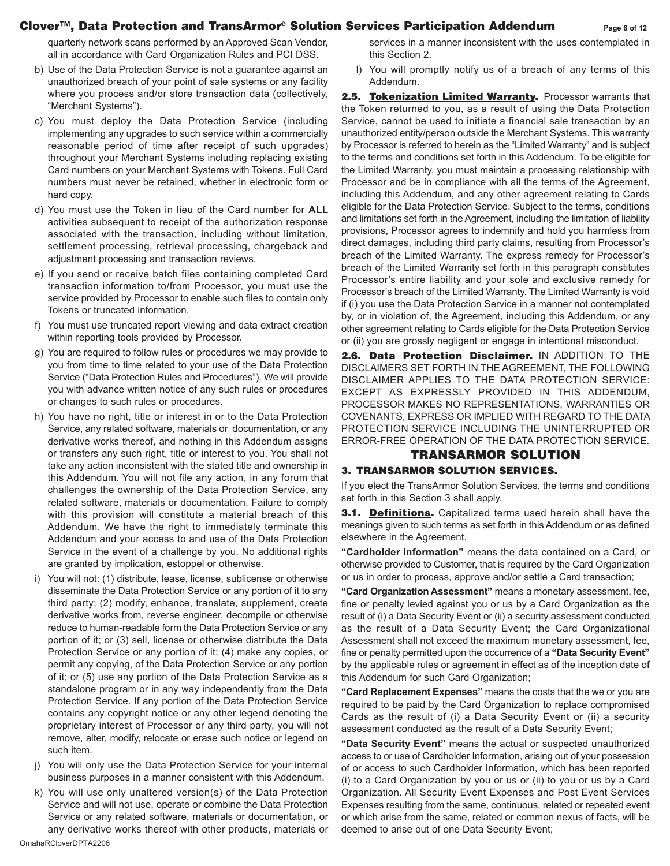## **Clover™, Data Protection and TransArmor® Solution Services Participation Addendum Page <sup>6</sup> of 1<sup>2</sup>**

quarterly network scans performed by an Approved Scan Vendor, all in accordance with Card Organization Rules and PCI DSS.

- b) Use of the Data Protection Service is not a guarantee against an unauthorized breach of your point of sale systems or any facility where you process and/or store transaction data (collectively, "Merchant Systems").
- c) You must deploy the Data Protection Service (including implementing any upgrades to such service within a commercially reasonable period of time after receipt of such upgrades) throughout your Merchant Systems including replacing existing Card numbers on your Merchant Systems with Tokens. Full Card numbers must never be retained, whether in electronic form or hard copy.
- d) You must use the Token in lieu of the Card number for **ALL** activities subsequent to receipt of the authorization response associated with the transaction, including without limitation, settlement processing, retrieval processing, chargeback and adjustment processing and transaction reviews.
- e) If you send or receive batch files containing completed Card transaction information to/from Processor, you must use the service provided by Processor to enable such files to contain only Tokens or truncated information.
- f) You must use truncated report viewing and data extract creation within reporting tools provided by Processor.
- g) You are required to follow rules or procedures we may provide to you from time to time related to your use of the Data Protection Service ("Data Protection Rules and Procedures"). We will provide you with advance written notice of any such rules or procedures or changes to such rules or procedures.
- h) You have no right, title or interest in or to the Data Protection Service, any related software, materials or documentation, or any derivative works thereof, and nothing in this Addendum assigns or transfers any such right, title or interest to you. You shall not take any action inconsistent with the stated title and ownership in this Addendum. You will not file any action, in any forum that challenges the ownership of the Data Protection Service, any related software, materials or documentation. Failure to comply with this provision will constitute a material breach of this Addendum. We have the right to immediately terminate this Addendum and your access to and use of the Data Protection Service in the event of a challenge by you. No additional rights are granted by implication, estoppel or otherwise.
- i) You will not: (1) distribute, lease, license, sublicense or otherwise disseminate the Data Protection Service or any portion of it to any third party; (2) modify, enhance, translate, supplement, create derivative works from, reverse engineer, decompile or otherwise reduce to human-readable form the Data Protection Service or any portion of it; or (3) sell, license or otherwise distribute the Data Protection Service or any portion of it; (4) make any copies, or permit any copying, of the Data Protection Service or any portion of it; or (5) use any portion of the Data Protection Service as a standalone program or in any way independently from the Data Protection Service. If any portion of the Data Protection Service contains any copyright notice or any other legend denoting the proprietary interest of Processor or any third party, you will not remove, alter, modify, relocate or erase such notice or legend on such item.
- j) You will only use the Data Protection Service for your internal business purposes in a manner consistent with this Addendum.
- k) You will use only unaltered version(s) of the Data Protection Service and will not use, operate or combine the Data Protection Service or any related software, materials or documentation, or any derivative works thereof with other products, materials or

services in a manner inconsistent with the uses contemplated in this Section 2.

l) You will promptly notify us of a breach of any terms of this Addendum.

2.5. Tokenization Limited Warranty. Processor warrants that the Token returned to you, as a result of using the Data Protection Service, cannot be used to initiate a financial sale transaction by an unauthorized entity/person outside the Merchant Systems. This warranty by Processor is referred to herein as the "Limited Warranty" and is subject to the terms and conditions set forth in this Addendum. To be eligible for the Limited Warranty, you must maintain a processing relationship with Processor and be in compliance with all the terms of the Agreement, including this Addendum, and any other agreement relating to Cards eligible for the Data Protection Service. Subject to the terms, conditions and limitations set forth in the Agreement, including the limitation of liability provisions, Processor agrees to indemnify and hold you harmless from direct damages, including third party claims, resulting from Processor's breach of the Limited Warranty. The express remedy for Processor's breach of the Limited Warranty set forth in this paragraph constitutes Processor's entire liability and your sole and exclusive remedy for Processor's breach of the Limited Warranty. The Limited Warranty is void if (i) you use the Data Protection Service in a manner not contemplated by, or in violation of, the Agreement, including this Addendum, or any other agreement relating to Cards eligible for the Data Protection Service or (ii) you are grossly negligent or engage in intentional misconduct.

**2.6. Data Protection Disclaimer.** IN ADDITION TO THE DISCLAIMERS SET FORTH IN THE AGREEMENT, THE FOLLOWING DISCLAIMER APPLIES TO THE DATA PROTECTION SERVICE: EXCEPT AS EXPRESSLY PROVIDED IN THIS ADDENDUM, PROCESSOR MAKES NO REPRESENTATIONS, WARRANTIES OR COVENANTS, EXPRESS OR IMPLIED WITH REGARD TO THE DATA PROTECTION SERVICE INCLUDING THE UNINTERRUPTED OR ERROR-FREE OPERATION OF THE DATA PROTECTION SERVICE.

# **TRANSARMOR SOLUTION**

#### **3. TRANSARMOR SOLUTION SERVICES.**

If you elect the TransArmor Solution Services, the terms and conditions set forth in this Section 3 shall apply.

**3.1. Definitions.** Capitalized terms used herein shall have the meanings given to such terms as set forth in this Addendum or as defined elsewhere in the Agreement.

**"Cardholder Information"** means the data contained on a Card, or otherwise provided to Customer, that is required by the Card Organization or us in order to process, approve and/or settle a Card transaction;

**"Card Organization Assessment"** means a monetary assessment, fee, fine or penalty levied against you or us by a Card Organization as the result of (i) a Data Security Event or (ii) a security assessment conducted as the result of a Data Security Event; the Card Organizational Assessment shall not exceed the maximum monetary assessment, fee, fine or penalty permitted upon the occurrence of a **"Data Security Event"** by the applicable rules or agreement in effect as of the inception date of this Addendum for such Card Organization;

**"Card Replacement Expenses"** means the costs that the we or you are required to be paid by the Card Organization to replace compromised Cards as the result of (i) a Data Security Event or (ii) a security assessment conducted as the result of a Data Security Event;

**"Data Security Event"** means the actual or suspected unauthorized access to or use of Cardholder Information, arising out of your possession of or access to such Cardholder Information, which has been reported (i) to a Card Organization by you or us or (ii) to you or us by a Card Organization. All Security Event Expenses and Post Event Services Expenses resulting from the same, continuous, related or repeated event or which arise from the same, related or common nexus of facts, will be deemed to arise out of one Data Security Event;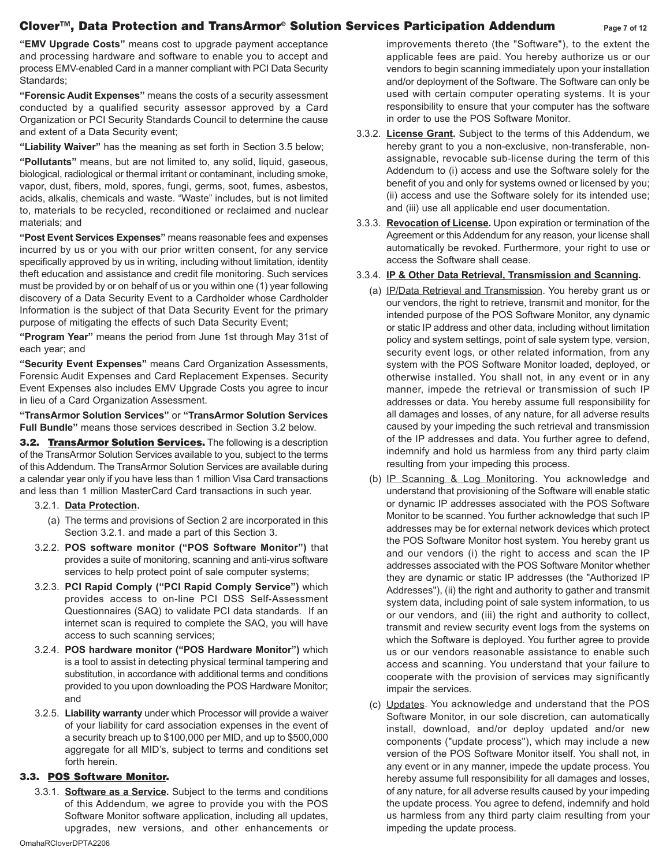# **Clover™, Data Protection and TransArmor® Solution Services Participation Addendum Page <sup>7</sup> of 1<sup>2</sup>**

**"EMV Upgrade Costs"** means cost to upgrade payment acceptance and processing hardware and software to enable you to accept and process EMV-enabled Card in a manner compliant with PCI Data Security Standards;

**"Forensic Audit Expenses"** means the costs of a security assessment conducted by a qualified security assessor approved by a Card Organization or PCI Security Standards Council to determine the cause and extent of a Data Security event;

**"Liability Waiver"** has the meaning as set forth in Section 3.5 below;

**"Pollutants"** means, but are not limited to, any solid, liquid, gaseous, biological, radiological or thermal irritant or contaminant, including smoke, vapor, dust, fibers, mold, spores, fungi, germs, soot, fumes, asbestos, acids, alkalis, chemicals and waste. "Waste" includes, but is not limited to, materials to be recycled, reconditioned or reclaimed and nuclear materials; and

**"Post Event Services Expenses"** means reasonable fees and expenses incurred by us or you with our prior written consent, for any service specifically approved by us in writing, including without limitation, identity theft education and assistance and credit file monitoring. Such services must be provided by or on behalf of us or you within one (1) year following discovery of a Data Security Event to a Cardholder whose Cardholder Information is the subject of that Data Security Event for the primary purpose of mitigating the effects of such Data Security Event;

**"Program Year"** means the period from June 1st through May 31st of each year; and

**"Security Event Expenses"** means Card Organization Assessments, Forensic Audit Expenses and Card Replacement Expenses. Security Event Expenses also includes EMV Upgrade Costs you agree to incur in lieu of a Card Organization Assessment.

**"TransArmor Solution Services"** or **"TransArmor Solution Services Full Bundle"** means those services described in Section 3.2 below.

**3.2. TransArmor Solution Services.** The following is a description of the TransArmor Solution Services available to you, subject to the terms of this Addendum. The TransArmor Solution Services are available during a calendar year only if you have less than 1 million Visa Card transactions and less than 1 million MasterCard Card transactions in such year.

- 3.2.1. **Data Protection.** 
	- (a) The terms and provisions of Section 2 are incorporated in this Section 3.2.1. and made a part of this Section 3.
- 3.2.2. **POS software monitor ("POS Software Monitor")** that provides a suite of monitoring, scanning and anti-virus software services to help protect point of sale computer systems;
- 3.2.3. **PCI Rapid Comply ("PCI Rapid Comply Service")** which provides access to on-line PCI DSS Self-Assessment Questionnaires (SAQ) to validate PCI data standards. If an internet scan is required to complete the SAQ, you will have access to such scanning services;
- 3.2.4. **POS hardware monitor ("POS Hardware Monitor")** which is a tool to assist in detecting physical terminal tampering and substitution, in accordance with additional terms and conditions provided to you upon downloading the POS Hardware Monitor; and
- 3.2.5. **Liability warranty** under which Processor will provide a waiver of your liability for card association expenses in the event of a security breach up to \$100,000 per MID, and up to \$500,000 aggregate for all MID's, subject to terms and conditions set forth herein.

## **3.3. POS Software Monitor.**

3.3.1. **Software as a Service.** Subject to the terms and conditions of this Addendum, we agree to provide you with the POS Software Monitor software application, including all updates, upgrades, new versions, and other enhancements or

improvements thereto (the "Software"), to the extent the applicable fees are paid. You hereby authorize us or our vendors to begin scanning immediately upon your installation and/or deployment of the Software. The Software can only be used with certain computer operating systems. It is your responsibility to ensure that your computer has the software in order to use the POS Software Monitor.

- 3.3.2. **License Grant.** Subject to the terms of this Addendum, we hereby grant to you a non-exclusive, non-transferable, nonassignable, revocable sub-license during the term of this Addendum to (i) access and use the Software solely for the benefit of you and only for systems owned or licensed by you; (ii) access and use the Software solely for its intended use; and (iii) use all applicable end user documentation.
- 3.3.3. **Revocation of License.** Upon expiration or termination of the Agreement or this Addendum for any reason, your license shall automatically be revoked. Furthermore, your right to use or access the Software shall cease.

#### 3.3.4. **IP & Other Data Retrieval, Transmission and Scanning.**

- (a) IP/Data Retrieval and Transmission. You hereby grant us or our vendors, the right to retrieve, transmit and monitor, for the intended purpose of the POS Software Monitor, any dynamic or static IP address and other data, including without limitation policy and system settings, point of sale system type, version, security event logs, or other related information, from any system with the POS Software Monitor loaded, deployed, or otherwise installed. You shall not, in any event or in any manner, impede the retrieval or transmission of such IP addresses or data. You hereby assume full responsibility for all damages and losses, of any nature, for all adverse results caused by your impeding the such retrieval and transmission of the IP addresses and data. You further agree to defend, indemnify and hold us harmless from any third party claim resulting from your impeding this process.
- (b) IP Scanning & Log Monitoring. You acknowledge and understand that provisioning of the Software will enable static or dynamic IP addresses associated with the POS Software Monitor to be scanned. You further acknowledge that such IP addresses may be for external network devices which protect the POS Software Monitor host system. You hereby grant us and our vendors (i) the right to access and scan the IP addresses associated with the POS Software Monitor whether they are dynamic or static IP addresses (the "Authorized IP Addresses"), (ii) the right and authority to gather and transmit system data, including point of sale system information, to us or our vendors, and (iii) the right and authority to collect, transmit and review security event logs from the systems on which the Software is deployed. You further agree to provide us or our vendors reasonable assistance to enable such access and scanning. You understand that your failure to cooperate with the provision of services may significantly impair the services.
- (c) Updates. You acknowledge and understand that the POS Software Monitor, in our sole discretion, can automatically install, download, and/or deploy updated and/or new components ("update process"), which may include a new version of the POS Software Monitor itself. You shall not, in any event or in any manner, impede the update process. You hereby assume full responsibility for all damages and losses, of any nature, for all adverse results caused by your impeding the update process. You agree to defend, indemnify and hold us harmless from any third party claim resulting from your impeding the update process.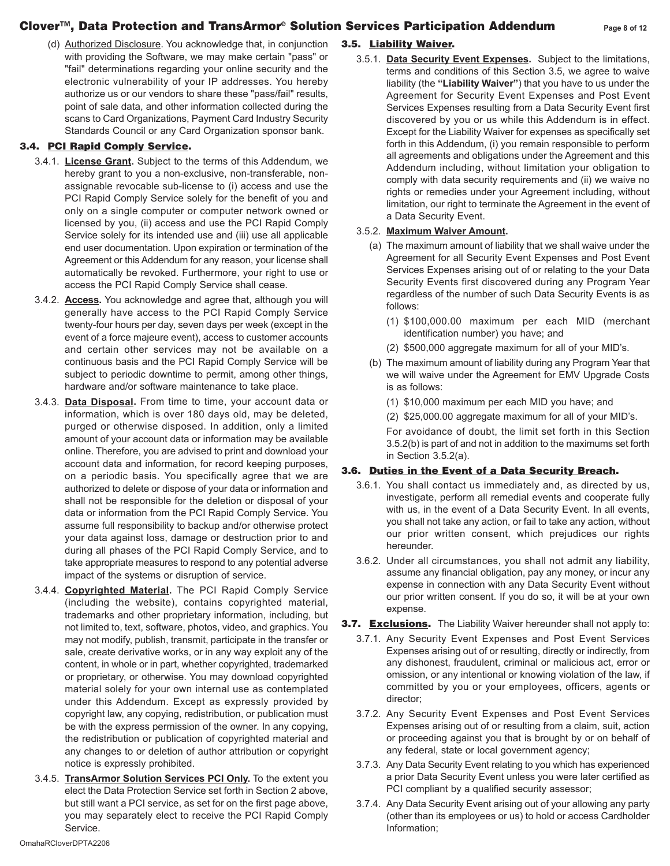# **Clover™, Data Protection and TransArmor® Solution Services Participation Addendum Page <sup>8</sup> of 1<sup>2</sup>**

(d) Authorized Disclosure. You acknowledge that, in conjunction with providing the Software, we may make certain "pass" or "fail" determinations regarding your online security and the electronic vulnerability of your IP addresses. You hereby authorize us or our vendors to share these "pass/fail" results, point of sale data, and other information collected during the scans to Card Organizations, Payment Card Industry Security Standards Council or any Card Organization sponsor bank.

# **3.4. PCI Rapid Comply Service.**

- 3.4.1. **License Grant.** Subject to the terms of this Addendum, we hereby grant to you a non-exclusive, non-transferable, nonassignable revocable sub-license to (i) access and use the PCI Rapid Comply Service solely for the benefit of you and only on a single computer or computer network owned or licensed by you, (ii) access and use the PCI Rapid Comply Service solely for its intended use and (iii) use all applicable end user documentation. Upon expiration or termination of the Agreement or this Addendum for any reason, your license shall automatically be revoked. Furthermore, your right to use or access the PCI Rapid Comply Service shall cease.
- 3.4.2. **Access.** You acknowledge and agree that, although you will generally have access to the PCI Rapid Comply Service twenty-four hours per day, seven days per week (except in the event of a force majeure event), access to customer accounts and certain other services may not be available on a continuous basis and the PCI Rapid Comply Service will be subject to periodic downtime to permit, among other things, hardware and/or software maintenance to take place.
- 3.4.3. **Data Disposal.** From time to time, your account data or information, which is over 180 days old, may be deleted, purged or otherwise disposed. In addition, only a limited amount of your account data or information may be available online. Therefore, you are advised to print and download your account data and information, for record keeping purposes, on a periodic basis. You specifically agree that we are authorized to delete or dispose of your data or information and shall not be responsible for the deletion or disposal of your data or information from the PCI Rapid Comply Service. You assume full responsibility to backup and/or otherwise protect your data against loss, damage or destruction prior to and during all phases of the PCI Rapid Comply Service, and to take appropriate measures to respond to any potential adverse impact of the systems or disruption of service.
- 3.4.4. **Copyrighted Material.** The PCI Rapid Comply Service (including the website), contains copyrighted material, trademarks and other proprietary information, including, but not limited to, text, software, photos, video, and graphics. You may not modify, publish, transmit, participate in the transfer or sale, create derivative works, or in any way exploit any of the content, in whole or in part, whether copyrighted, trademarked or proprietary, or otherwise. You may download copyrighted material solely for your own internal use as contemplated under this Addendum. Except as expressly provided by copyright law, any copying, redistribution, or publication must be with the express permission of the owner. In any copying, the redistribution or publication of copyrighted material and any changes to or deletion of author attribution or copyright notice is expressly prohibited.
- 3.4.5. **TransArmor Solution Services PCI Only.** To the extent you elect the Data Protection Service set forth in Section 2 above, but still want a PCI service, as set for on the first page above, you may separately elect to receive the PCI Rapid Comply Service.

# **3.5. Liability Waiver.**

3.5.1. **Data Security Event Expenses.** Subject to the limitations, terms and conditions of this Section 3.5, we agree to waive liability (the **"Liability Waiver"**) that you have to us under the Agreement for Security Event Expenses and Post Event Services Expenses resulting from a Data Security Event first discovered by you or us while this Addendum is in effect. Except for the Liability Waiver for expenses as specifically set forth in this Addendum, (i) you remain responsible to perform all agreements and obligations under the Agreement and this Addendum including, without limitation your obligation to comply with data security requirements and (ii) we waive no rights or remedies under your Agreement including, without limitation, our right to terminate the Agreement in the event of a Data Security Event.

#### 3.5.2. **Maximum Waiver Amount.**

- (a) The maximum amount of liability that we shall waive under the Agreement for all Security Event Expenses and Post Event Services Expenses arising out of or relating to the your Data Security Events first discovered during any Program Year regardless of the number of such Data Security Events is as follows:
	- (1) \$100,000.00 maximum per each MID (merchant identification number) you have; and
	- (2) \$500,000 aggregate maximum for all of your MID's.
- (b) The maximum amount of liability during any Program Year that we will waive under the Agreement for EMV Upgrade Costs is as follows:
	- (1) \$10,000 maximum per each MID you have; and
	- (2) \$25,000.00 aggregate maximum for all of your MID's.

For avoidance of doubt, the limit set forth in this Section 3.5.2(b) is part of and not in addition to the maximums set forth in Section 3.5.2(a).

## **3.6. Duties in the Event of a Data Security Breach.**

- 3.6.1. You shall contact us immediately and, as directed by us, investigate, perform all remedial events and cooperate fully with us, in the event of a Data Security Event. In all events, you shall not take any action, or fail to take any action, without our prior written consent, which prejudices our rights hereunder.
- 3.6.2. Under all circumstances, you shall not admit any liability, assume any financial obligation, pay any money, or incur any expense in connection with any Data Security Event without our prior written consent. If you do so, it will be at your own expense.
- **3.7. Exclusions.** The Liability Waiver hereunder shall not apply to:
	- 3.7.1. Any Security Event Expenses and Post Event Services Expenses arising out of or resulting, directly or indirectly, from any dishonest, fraudulent, criminal or malicious act, error or omission, or any intentional or knowing violation of the law, if committed by you or your employees, officers, agents or director;
	- 3.7.2. Any Security Event Expenses and Post Event Services Expenses arising out of or resulting from a claim, suit, action or proceeding against you that is brought by or on behalf of any federal, state or local government agency;
	- 3.7.3. Any Data Security Event relating to you which has experienced a prior Data Security Event unless you were later certified as PCI compliant by a qualified security assessor;
	- 3.7.4. Any Data Security Event arising out of your allowing any party (other than its employees or us) to hold or access Cardholder Information;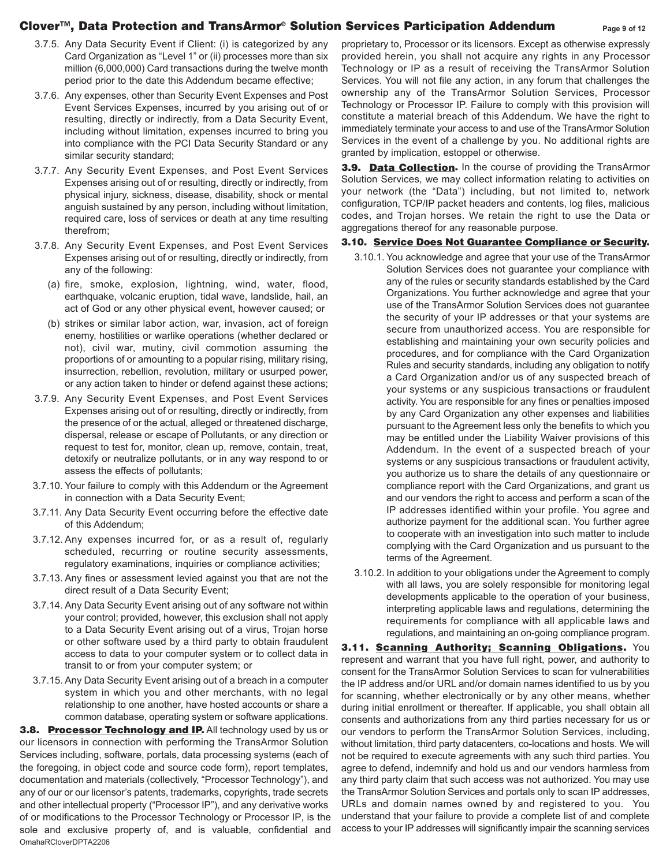## **Clover™, Data Protection and TransArmor® Solution Services Participation Addendum Page <sup>9</sup> of 1<sup>2</sup>**

- 3.7.5. Any Data Security Event if Client: (i) is categorized by any Card Organization as "Level 1" or (ii) processes more than six million (6,000,000) Card transactions during the twelve month period prior to the date this Addendum became effective;
- 3.7.6. Any expenses, other than Security Event Expenses and Post Event Services Expenses, incurred by you arising out of or resulting, directly or indirectly, from a Data Security Event, including without limitation, expenses incurred to bring you into compliance with the PCI Data Security Standard or any similar security standard;
- 3.7.7. Any Security Event Expenses, and Post Event Services Expenses arising out of or resulting, directly or indirectly, from physical injury, sickness, disease, disability, shock or mental anguish sustained by any person, including without limitation, required care, loss of services or death at any time resulting therefrom;
- 3.7.8. Any Security Event Expenses, and Post Event Services Expenses arising out of or resulting, directly or indirectly, from any of the following:
	- (a) fire, smoke, explosion, lightning, wind, water, flood, earthquake, volcanic eruption, tidal wave, landslide, hail, an act of God or any other physical event, however caused; or
	- (b) strikes or similar labor action, war, invasion, act of foreign enemy, hostilities or warlike operations (whether declared or not), civil war, mutiny, civil commotion assuming the proportions of or amounting to a popular rising, military rising, insurrection, rebellion, revolution, military or usurped power, or any action taken to hinder or defend against these actions;
- 3.7.9. Any Security Event Expenses, and Post Event Services Expenses arising out of or resulting, directly or indirectly, from the presence of or the actual, alleged or threatened discharge, dispersal, release or escape of Pollutants, or any direction or request to test for, monitor, clean up, remove, contain, treat, detoxify or neutralize pollutants, or in any way respond to or assess the effects of pollutants;
- 3.7.10. Your failure to comply with this Addendum or the Agreement in connection with a Data Security Event;
- 3.7.11. Any Data Security Event occurring before the effective date of this Addendum;
- 3.7.12. Any expenses incurred for, or as a result of, regularly scheduled, recurring or routine security assessments, regulatory examinations, inquiries or compliance activities;
- 3.7.13. Any fines or assessment levied against you that are not the direct result of a Data Security Event;
- 3.7.14. Any Data Security Event arising out of any software not within your control; provided, however, this exclusion shall not apply to a Data Security Event arising out of a virus, Trojan horse or other software used by a third party to obtain fraudulent access to data to your computer system or to collect data in transit to or from your computer system; or
- 3.7.15. Any Data Security Event arising out of a breach in a computer system in which you and other merchants, with no legal relationship to one another, have hosted accounts or share a common database, operating system or software applications.

**3.8. Processor Technology and IP.** All technology used by us or our licensors in connection with performing the TransArmor Solution Services including, software, portals, data processing systems (each of the foregoing, in object code and source code form), report templates, documentation and materials (collectively, "Processor Technology"), and any of our or our licensor's patents, trademarks, copyrights, trade secrets and other intellectual property ("Processor IP"), and any derivative works of or modifications to the Processor Technology or Processor IP, is the sole and exclusive property of, and is valuable, confidential and OmahaRCloverDPTA2206

proprietary to, Processor or its licensors. Except as otherwise expressly provided herein, you shall not acquire any rights in any Processor Technology or IP as a result of receiving the TransArmor Solution Services. You will not file any action, in any forum that challenges the ownership any of the TransArmor Solution Services, Processor Technology or Processor IP. Failure to comply with this provision will constitute a material breach of this Addendum. We have the right to immediately terminate your access to and use of the TransArmor Solution Services in the event of a challenge by you. No additional rights are granted by implication, estoppel or otherwise.

**3.9. Data Collection.** In the course of providing the TransArmor Solution Services, we may collect information relating to activities on your network (the "Data") including, but not limited to, network configuration, TCP/IP packet headers and contents, log files, malicious codes, and Trojan horses. We retain the right to use the Data or aggregations thereof for any reasonable purpose.

## **3.10. Service Does Not Guarantee Compliance or Security.**

- 3.10.1. You acknowledge and agree that your use of the TransArmor Solution Services does not guarantee your compliance with any of the rules or security standards established by the Card Organizations. You further acknowledge and agree that your use of the TransArmor Solution Services does not guarantee the security of your IP addresses or that your systems are secure from unauthorized access. You are responsible for establishing and maintaining your own security policies and procedures, and for compliance with the Card Organization Rules and security standards, including any obligation to notify a Card Organization and/or us of any suspected breach of your systems or any suspicious transactions or fraudulent activity. You are responsible for any fines or penalties imposed by any Card Organization any other expenses and liabilities pursuant to the Agreement less only the benefits to which you may be entitled under the Liability Waiver provisions of this Addendum. In the event of a suspected breach of your systems or any suspicious transactions or fraudulent activity, you authorize us to share the details of any questionnaire or compliance report with the Card Organizations, and grant us and our vendors the right to access and perform a scan of the IP addresses identified within your profile. You agree and authorize payment for the additional scan. You further agree to cooperate with an investigation into such matter to include complying with the Card Organization and us pursuant to the terms of the Agreement.
- 3.10.2. In addition to your obligations under the Agreement to comply with all laws, you are solely responsible for monitoring legal developments applicable to the operation of your business, interpreting applicable laws and regulations, determining the requirements for compliance with all applicable laws and regulations, and maintaining an on-going compliance program.

**3.11. Scanning Authority; Scanning Obligations.** You represent and warrant that you have full right, power, and authority to consent for the TransArmor Solution Services to scan for vulnerabilities the IP address and/or URL and/or domain names identified to us by you for scanning, whether electronically or by any other means, whether during initial enrollment or thereafter. If applicable, you shall obtain all consents and authorizations from any third parties necessary for us or our vendors to perform the TransArmor Solution Services, including, without limitation, third party datacenters, co-locations and hosts. We will not be required to execute agreements with any such third parties. You agree to defend, indemnify and hold us and our vendors harmless from any third party claim that such access was not authorized. You may use the TransArmor Solution Services and portals only to scan IP addresses, URLs and domain names owned by and registered to you. You understand that your failure to provide a complete list of and complete access to your IP addresses will significantly impair the scanning services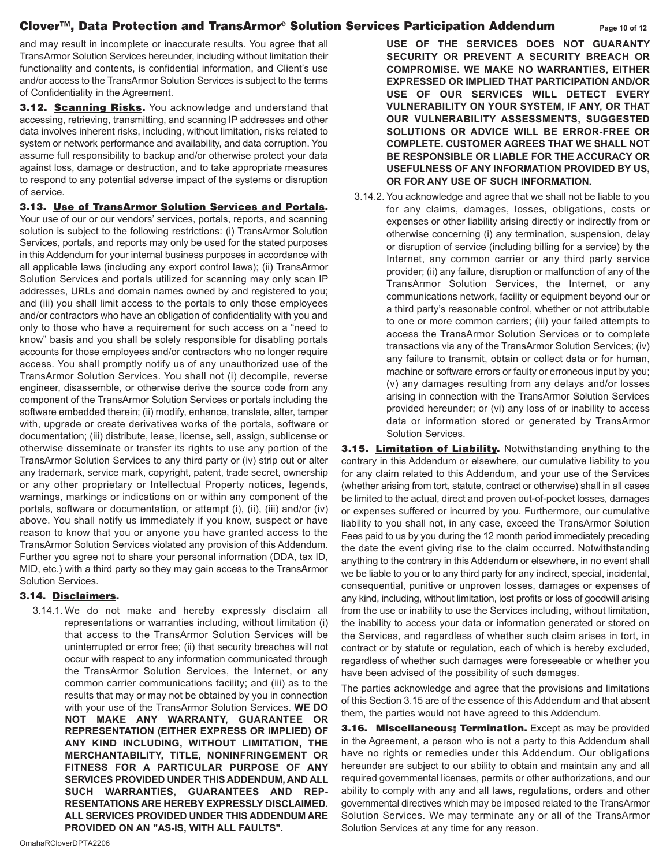## **Clover™, Data Protection and TransArmor® Solution Services Participation Addendum Page 1<sup>0</sup> of 1<sup>2</sup>**

and may result in incomplete or inaccurate results. You agree that all TransArmor Solution Services hereunder, including without limitation their functionality and contents, is confidential information, and Client's use and/or access to the TransArmor Solution Services is subject to the terms of Confidentiality in the Agreement.

**3.12. Scanning Risks.** You acknowledge and understand that accessing, retrieving, transmitting, and scanning IP addresses and other data involves inherent risks, including, without limitation, risks related to system or network performance and availability, and data corruption. You assume full responsibility to backup and/or otherwise protect your data against loss, damage or destruction, and to take appropriate measures to respond to any potential adverse impact of the systems or disruption of service.

**3.13. Use of TransArmor Solution Services and Portals.** Your use of our or our vendors' services, portals, reports, and scanning solution is subject to the following restrictions: (i) TransArmor Solution Services, portals, and reports may only be used for the stated purposes in this Addendum for your internal business purposes in accordance with all applicable laws (including any export control laws); (ii) TransArmor Solution Services and portals utilized for scanning may only scan IP addresses, URLs and domain names owned by and registered to you; and (iii) you shall limit access to the portals to only those employees and/or contractors who have an obligation of confidentiality with you and only to those who have a requirement for such access on a "need to know" basis and you shall be solely responsible for disabling portals accounts for those employees and/or contractors who no longer require access. You shall promptly notify us of any unauthorized use of the TransArmor Solution Services. You shall not (i) decompile, reverse engineer, disassemble, or otherwise derive the source code from any component of the TransArmor Solution Services or portals including the software embedded therein; (ii) modify, enhance, translate, alter, tamper with, upgrade or create derivatives works of the portals, software or documentation; (iii) distribute, lease, license, sell, assign, sublicense or otherwise disseminate or transfer its rights to use any portion of the TransArmor Solution Services to any third party or (iv) strip out or alter any trademark, service mark, copyright, patent, trade secret, ownership or any other proprietary or Intellectual Property notices, legends, warnings, markings or indications on or within any component of the portals, software or documentation, or attempt (i), (ii), (iii) and/or (iv) above. You shall notify us immediately if you know, suspect or have reason to know that you or anyone you have granted access to the TransArmor Solution Services violated any provision of this Addendum. Further you agree not to share your personal information (DDA, tax ID, MID, etc.) with a third party so they may gain access to the TransArmor Solution Services.

# **3.14. Disclaimers.**

3.14.1. We do not make and hereby expressly disclaim all representations or warranties including, without limitation (i) that access to the TransArmor Solution Services will be uninterrupted or error free; (ii) that security breaches will not occur with respect to any information communicated through the TransArmor Solution Services, the Internet, or any common carrier communications facility; and (iii) as to the results that may or may not be obtained by you in connection with your use of the TransArmor Solution Services. **WE DO NOT MAKE ANY WARRANTY, GUARANTEE OR REPRESENTATION (EITHER EXPRESS OR IMPLIED) OF ANY KIND INCLUDING, WITHOUT LIMITATION, THE MERCHANT ABILITY, TITLE, NONINFRINGEMENT OR FITNESS FOR A PARTICULAR PURPOSE OF ANY SERVICES PROVIDED UNDER THIS ADDENDUM, AND ALL** SUCH WARRANTIES, GUARANTEES AND REP-**RESENTATIONS ARE HEREBY EXPRESSLY DISCLAIMED. ALL SERVICES PROVIDED UNDER THIS ADDENDUM ARE PROVIDED ON AN "AS-IS, WITH ALL FAULTS".**

**USE OF THE SERVICES DOES NOT GUARANTY SECURITY OR PREVENT A SECURITY BREACH OR COMPROMISE. WE MAKE NO WARRANTIES, EITHER EXPRESSED OR IMPLIED THAT PARTICIPATION AND/OR USE OF OUR SERVICES WILL DETECT EVERY VULNERABILITY ON YOUR SYSTEM, IF ANY, OR THAT OUR VULNERABILITY ASSESSMENTS, SUGGESTED SOLUTIONS OR ADVICE WILL BE ERROR-FREE OR COMPLETE. CUSTOMER AGREES THAT WE SHALL NOT BE RESPONSIBLE OR LIABLE FOR THE ACCURACY OR USEFULNESS OF ANY INFORMATION PROVIDED BY US, OR FOR ANY USE OF SUCH INFORMATION.** 

3.14.2. You acknowledge and agree that we shall not be liable to you for any claims, damages, losses, obligations, costs or expenses or other liability arising directly or indirectly from or otherwise concerning (i) any termination, suspension, delay or disruption of service (including billing for a service) by the Internet, any common carrier or any third party service provider; (ii) any failure, disruption or malfunction of any of the TransArmor Solution Services, the Internet, or any communications network, facility or equipment beyond our or a third party's reasonable control, whether or not attributable to one or more common carriers; (iii) your failed attempts to access the TransArmor Solution Services or to complete transactions via any of the TransArmor Solution Services; (iv) any failure to transmit, obtain or collect data or for human, machine or software errors or faulty or erroneous input by you; (v) any damages resulting from any delays and/or losses arising in connection with the TransArmor Solution Services provided hereunder; or (vi) any loss of or inability to access data or information stored or generated by TransArmor Solution Services.

**3.15. Limitation of Liability.** Notwithstanding anything to the contrary in this Addendum or elsewhere, our cumulative liability to you for any claim related to this Addendum, and your use of the Services (whether arising from tort, statute, contract or otherwise) shall in all cases be limited to the actual, direct and proven out-of-pocket losses, damages or expenses suffered or incurred by you. Furthermore, our cumulative liability to you shall not, in any case, exceed the TransArmor Solution Fees paid to us by you during the 12 month period immediately preceding the date the event giving rise to the claim occurred. Notwithstanding anything to the contrary in this Addendum or elsewhere, in no event shall we be liable to you or to any third party for any indirect, special, incidental, consequential, punitive or unproven losses, damages or expenses of any kind, including, without limitation, lost profits or loss of goodwill arising from the use or inability to use the Services including, without limitation, the inability to access your data or information generated or stored on the Services, and regardless of whether such claim arises in tort, in contract or by statute or regulation, each of which is hereby excluded, regardless of whether such damages were foreseeable or whether you have been advised of the possibility of such damages.

The parties acknowledge and agree that the provisions and limitations of this Section 3.15 are of the essence of this Addendum and that absent them, the parties would not have agreed to this Addendum.

**3.16. Miscellaneous; Termination.** Except as may be provided in the Agreement, a person who is not a party to this Addendum shall have no rights or remedies under this Addendum. Our obligations hereunder are subject to our ability to obtain and maintain any and all required governmental licenses, permits or other authorizations, and our ability to comply with any and all laws, regulations, orders and other governmental directives which may be imposed related to the TransArmor Solution Services. We may terminate any or all of the TransArmor Solution Services at any time for any reason.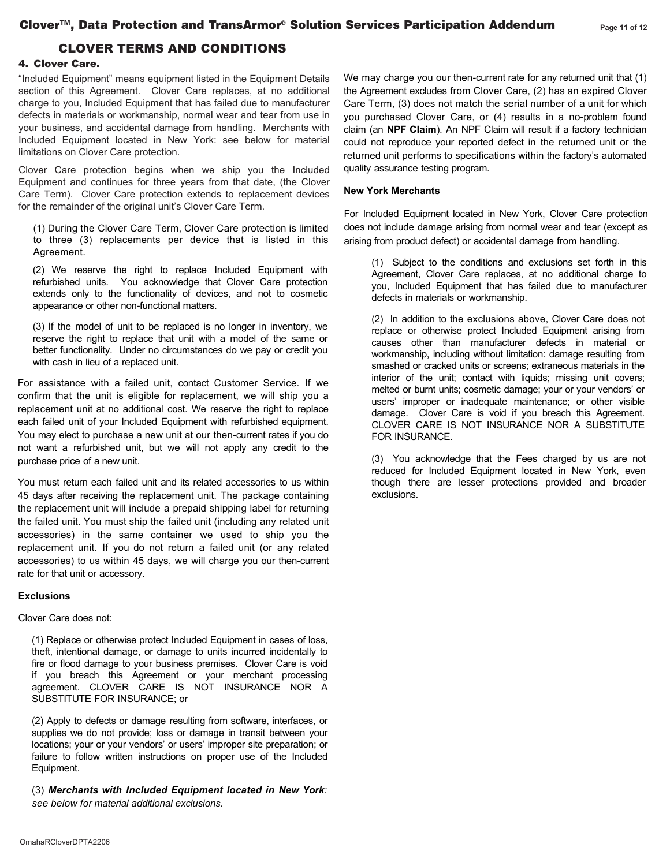# CLOVER TERMS AND CONDITIONS

#### **4.** Clover Care**.**

"Included Equipment" means equipment listed in the Equipment Details section of this Agreement. Clover Care replaces, at no additional charge to you, Included Equipment that has failed due to manufacturer defects in materials or workmanship, normal wear and tear from use in your business, and accidental damage from handling. Merchants with Included Equipment located in New York: see below for material limitations on Clover Care protection.

Clover Care protection begins when we ship you the Included Equipment and continues for three years from that date, (the Clover Care Term). Clover Care protection extends to replacement devices for the remainder of the original unit's Clover Care Term.

(1) During the Clover Care Term, Clover Care protection is limited to three (3) replacements per device that is listed in this Agreement.

(2) We reserve the right to replace Included Equipment with refurbished units. You acknowledge that Clover Care protection extends only to the functionality of devices, and not to cosmetic appearance or other non-functional matters.

(3) If the model of unit to be replaced is no longer in inventory, we reserve the right to replace that unit with a model of the same or better functionality. Under no circumstances do we pay or credit you with cash in lieu of a replaced unit.

For assistance with a failed unit, contact Customer Service. If we confirm that the unit is eligible for replacement, we will ship you a replacement unit at no additional cost. We reserve the right to replace each failed unit of your Included Equipment with refurbished equipment. You may elect to purchase a new unit at our then-current rates if you do not want a refurbished unit, but we will not apply any credit to the purchase price of a new unit.

You must return each failed unit and its related accessories to us within 45 days after receiving the replacement unit. The package containing the replacement unit will include a prepaid shipping label for returning the failed unit. You must ship the failed unit (including any related unit accessories) in the same container we used to ship you the replacement unit. If you do not return a failed unit (or any related accessories) to us within 45 days, we will charge you our then-current rate for that unit or accessory.

#### **Exclusions**

#### Clover Care does not:

(1) Replace or otherwise protect Included Equipment in cases of loss, theft, intentional damage, or damage to units incurred incidentally to fire or flood damage to your business premises. Clover Care is void if you breach this Agreement or your merchant processing agreement. CLOVER CARE IS NOT INSURANCE NOR A SUBSTITUTE FOR INSURANCE; or

(2) Apply to defects or damage resulting from software, interfaces, or supplies we do not provide; loss or damage in transit between your locations; your or your vendors' or users' improper site preparation; or failure to follow written instructions on proper use of the Included Equipment.

(3) *Merchants with Included Equipment located in New York: see below for material additional exclusions*.

We may charge you our then-current rate for any returned unit that (1) the Agreement excludes from Clover Care, (2) has an expired Clover Care Term, (3) does not match the serial number of a unit for which you purchased Clover Care, or (4) results in a no-problem found claim (an **NPF Claim**). An NPF Claim will result if a factory technician could not reproduce your reported defect in the returned unit or the returned unit performs to specifications within the factory's automated quality assurance testing program.

#### **New York Merchants**

For Included Equipment located in New York, Clover Care protection does not include damage arising from normal wear and tear (except as arising from product defect) or accidental damage from handling.

(1) Subject to the conditions and exclusions set forth in this Agreement, Clover Care replaces, at no additional charge to you, Included Equipment that has failed due to manufacturer defects in materials or workmanship.

(2) In addition to the exclusions above, Clover Care does not replace or otherwise protect Included Equipment arising from causes other than manufacturer defects in material or workmanship, including without limitation: damage resulting from smashed or cracked units or screens; extraneous materials in the interior of the unit; contact with liquids; missing unit covers; melted or burnt units; cosmetic damage; your or your vendors' or users' improper or inadequate maintenance; or other visible damage. Clover Care is void if you breach this Agreement. CLOVER CARE IS NOT INSURANCE NOR A SUBSTITUTE FOR INSURANCE.

(3) You acknowledge that the Fees charged by us are not reduced for Included Equipment located in New York, even though there are lesser protections provided and broader exclusions.